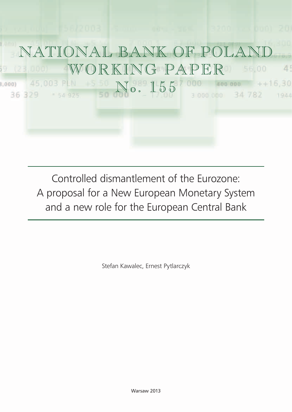

Controlled dismantlement of the Eurozone: A proposal for a New European Monetary System and a new role for the European Central Bank

Stefan Kawalec, Ernest Pytlarczyk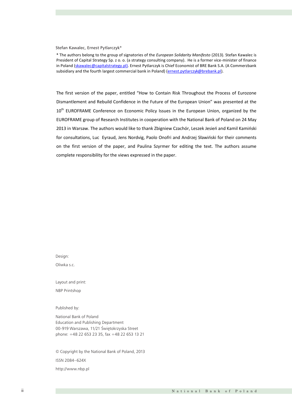#### Stefan Kawalec, Ernest Pytlarczyk\*

\* The authors belong to the group of signatories of the European Solidarity Manifesto (2013). Stefan Kawalec is<br>Resident of Carital Statements, a sense for the teatroscopylities equation also formancies wishing of finance subsidiary and the fourth largest commercial bank in Poland) (**ernest.pytlarczyk@brebank.pl**). President of Capital Strategy Sp. z o. o. (a strategy consulting company). He is a former vice-minister of finance in Poland (<u>skawalec@capitalstrategy.pl)</u>. Ernest Pytlarczyk is Chief Economist of BRE Bank S.A. (A Commerzbank

The first version of the paper, entitled "How to Contain Risk Throughout the Process of Eurozone Dismantlement and Rebuild Confidence in the Future of the European Union" was presented at the 10<sup>th</sup> EUROFRAME Conference on Economic Policy Issues in the European Union, organized by the EUROFRAME group of Research Institutes in cooperation with the National Bank of Poland on 24 May 2013 in Warsaw. The authors would like to thank Zbigniew Czachór, Leszek Jesień and Kamil Kamiński for consultations, Luc Eyraud, Jens Nordvig, Paolo Onofri and Andrzej Sławiński for their comments on the first version of the paper, and Paulina Szyrmer for editing the text. The authors assume complete responsibility for the views expressed in the paper.

Design:

Oliwka s.c.

Layout and print:

NBP Printshop

Published by:

National Bank of Poland Education and Publishing Department 00-919 Warszawa, 11/21 Świętokrzyska Street phone: +48 22 653 23 35, fax +48 22 653 13 21

© Copyright by the National Bank of Poland, 2013 ISSN 2084–624X http://www.nbp.pl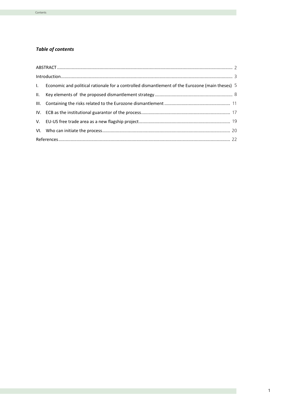## *Table of contents*

| 1. Economic and political rationale for a controlled dismantlement of the Eurozone (main theses) 5 |  |
|----------------------------------------------------------------------------------------------------|--|
|                                                                                                    |  |
|                                                                                                    |  |
|                                                                                                    |  |
|                                                                                                    |  |
|                                                                                                    |  |
|                                                                                                    |  |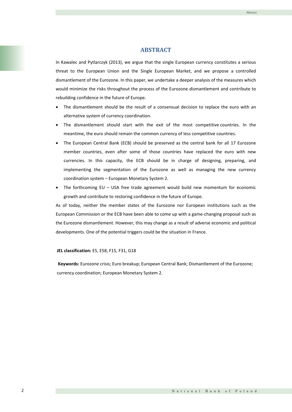# **ABSTRACT**

In Kawalec and Pytlarczyk (2013), we argue that the single European currency constitutes a serious<br> threat to the European Union and the Single European Market, and we propose a controlled dismantlement of the Eurozone. In this paper, we undertake a deeper analysis of the measures which would minimize the risks throughout the process of the Eurozone dismantlement and contribute to rebuilding confidence in the future of Europe. **Stefan Kawalec and Ernest Pytlarczyk**

- The dismantlement should be the result of a consensual decision to replace the euro with an alternative system of currency coordination.
- The dismantlement should start with the exit of the most competitive countries. In the meantime, the euro should remain the common currency of less competitive countries.
- The European Central Bank (ECB) should be preserved as the central bank for all 17 Eurozone member countries, even after some of those countries have replaced the euro with new currencies. In this capacity, the ECB should be in charge of designing, preparing, and implementing the segmentation of the Eurozone as well as managing the new currency coordination system – European Monetary System 2.
- The forthcoming EU USA free trade agreement would build new momentum for economic growth and contribute to restoring confidence in the future of Europe.

As of today, neither the member states of the Eurozone nor European institutions such as the European Commission or the ECB have been able to come up with a game-changing proposal such as the Eurozone dismantlement. However, this may change as a result of adverse economic and political developments. One of the potential triggers could be the situation in France.

# **JEL classification:** E5, E58, F15, F31, G18

**Keywords:** Eurozone crisis; Euro breakup; European Central Bank; Dismantlement of the Eurozone; currency coordination; European Monetary System 2.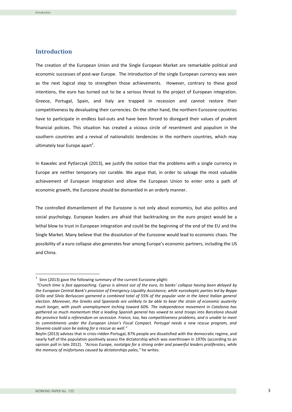## **Introduction**

The creation of the European Union and the Single European Market are remarkable political and economic successes of post-war Europe. The introduction of the single European currency was seen as the next logical step to strengthen those achievements. However, contrary to these good intentions, the euro has turned out to be a serious threat to the project of European integration. Greece, Portugal, Spain, and Italy are trapped in recession and cannot restore their competitiveness by devaluating their currencies. On the other hand, the northern Eurozone countries have to participate in endless bail-outs and have been forced to disregard their values of prudent financial policies. This situation has created a vicious circle of resentment and populism in the southern countries and a revival of nationalistic tendencies in the northern countries, which may ultimately tear Europe apart<sup>1</sup>.

In Kawalec and Pytlarczyk (2013), we justify the notion that the problems with a single currency in Europe are neither temporary nor curable. We argue that, in order to salvage the most valuable achievement of European integration and allow the European Union to enter onto a path of economic growth, the Eurozone should be dismantled in an orderly manner.

The controlled dismantlement of the Eurozone is not only about economics, but also politics and social psychology. European leaders are afraid that backtracking on the euro project would be a lethal blow to trust in European integration and could be the beginning of the end of the EU and the Single Market. Many believe that the dissolution of the Eurozone would lead to economic chaos. The possibility of a euro collapse also generates fear among Europe's economic partners, including the US and China.

 $1$  Sinn (2013) gave the following summary of the current Eurozone plight:

*<sup>&</sup>quot;Crunch time is fast approaching. Cyprus is almost out of the euro, its banks' collapse having been delayed by the European Central Bank's provision of Emergency Liquidity Assistance, while euroskeptic parties led by Beppe Grillo and Silvio Berlusconi garnered a combined total of 55% of the popular vote in the latest Italian general election. Moreover, the Greeks and Spaniards are unlikely to be able to bear the strain of economic austerity much longer, with youth unemployment inching toward 60%. The independence movement in Catalonia has gathered so much momentum that a leading Spanish general has vowed to send troops into Barcelona should the province hold a referendum on secession. France, too, has competitiveness problems, and is unable to meet its commitments under the European Union's Fiscal Compact. Portugal needs a new rescue program, and Slovenia could soon be asking for a rescue as well."*

Beylin (2013) advises that in crisis-ridden Portugal, 87% people are dissatisfied with the democratic regime, and nearly half of the population positively assess the dictatorship which was overthrown in 1970s (according to an opinion poll in late 2012). *"Across Europe, nostalgia for a strong order and powerful leaders proliferates, while the memory of misfortunes caused by dictatorships pales,"* he writes.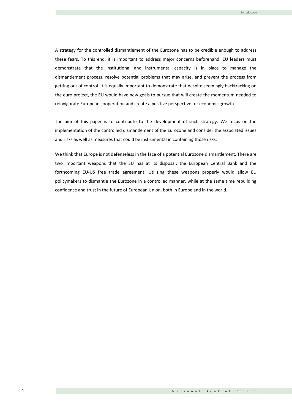A strategy for the controlled dismantlement of the Eurozone has to be credible enough to address these fears. To this end, it is important to address major concerns beforehand. EU leaders must demonstrate that the institutional and instrumental capacity is in place to manage the dismantlement process, resolve potential problems that may arise, and prevent the process from getting out of control. It is equally important to demonstrate that despite seemingly backtracking on the euro project, the EU would have new goals to pursue that will create the momentum needed to reinvigorate European cooperation and create a positive perspective for economic growth.

The aim of this paper is to contribute to the development of such strategy. We focus on the implementation of the controlled dismantlement of the Eurozone and consider the associated issues and risks as well as measures that could be instrumental in containing those risks.

We think that Europe is not defenseless in the face of a potential Eurozone dismantlement. There are two important weapons that the EU has at its disposal: the European Central Bank and the forthcoming EU-US free trade agreement. Utilizing these weapons properly would allow EU policymakers to dismantle the Eurozone in a controlled manner, while at the same time rebuilding confidence and trust in the future of European Union, both in Europe and in the world.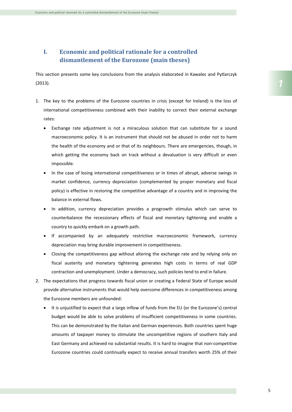## **I. Economic and political rationale for a controlled dismantlement of the Eurozone (main theses)**

This section presents some key conclusions from the analysis elaborated in Kawalec and Pytlarczyk (2013).

- 1. The key to the problems of the Eurozone countries in crisis (except for Ireland) is the loss of international competitiveness combined with their inability to correct their external exchange rates:
	- Exchange rate adjustment is not a miraculous solution that can substitute for a sound macroeconomic policy. It is an instrument that should not be abused in order not to harm the health of the economy and or that of its neighbours. There are emergencies, though, in which getting the economy back on track without a devaluation is very difficult or even impossible.
	- In the case of losing international competitiveness or in times of abrupt, adverse swings in market confidence, currency depreciation (complemented by proper monetary and fiscal policy) is effective in restoring the competitive advantage of a country and in improving the balance in external flows.
	- In addition, currency depreciation provides a progrowth stimulus which can serve to counterbalance the recessionary effects of fiscal and monetary tightening and enable a country to quickly embark on a growth path.
	- If accompanied by an adequately restrictive macroeconomic framework, currency depreciation may bring durable improvement in competitiveness.
	- Closing the competitiveness gap without altering the exchange rate and by relying only on fiscal austerity and monetary tightening generates high costs in terms of real GDP contraction and unemployment. Under a democracy, such policies tend to end in failure.
- 2. The expectations that progress towards fiscal union or creating a Federal State of Europe would provide alternative instruments that would help overcome differences in competitiveness among the Eurozone members are unfounded:
	- It is unjustified to expect that a large inflow of funds from the EU (or the Eurozone's) central budget would be able to solve problems of insufficient competitiveness in some countries. This can be demonstrated by the Italian and German experiences. Both countries spent huge amounts of taxpayer money to stimulate the uncompetitive regions of southern Italy and East Germany and achieved no substantial results. It is hard to imagine that non-competitive Eurozone countries could continually expect to receive annual transfers worth 25% of their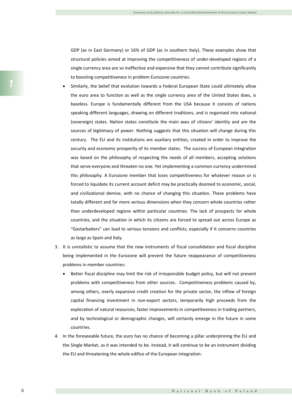GDP (as in East Germany) or 16% of GDP (as in southern Italy). These examples show that structural policies aimed at improving the competitiveness of under-developed regions of a single currency area are so ineffective and expensive that they cannot contribute significantly to boosting competitiveness in problem Eurozone countries.

- Similarly, the belief that evolution towards a Federal European State could ultimately allow the euro area to function as well as the single currency area of the United States does, is baseless. Europe is fundamentally different from the USA because it consists of nations speaking different languages, drawing on different traditions, and is organised into national (sovereign) states. Nation states constitute the main axes of citizens' identity and are the sources of legitimacy of power. Nothing suggests that this situation will change during this century. The EU and its institutions are auxiliary entities, created in order to improve the security and economic prosperity of its member states. The success of European integration was based on the philosophy of respecting the needs of all members, accepting solutions that serve everyone and threaten no one. Yet implementing a common currency undermined this philosophy. A Eurozone member that loses competitiveness for whatever reason or is forced to liquidate its current account deficit may be practically doomed to economic, social, and civilizational demise, with no chance of changing this situation. These problems have totally different and far more serious dimensions when they concern whole countries rather than underdeveloped regions within particular countries. The lack of prospects for whole countries, and the situation in which its citizens are forced to spread out across Europe as "Gastarbaiters" can lead to serious tensions and conflicts, especially if it concerns countries as large as Spain and Italy.
- 3. It is unrealistic to assume that the new instruments of fiscal consolidation and fiscal discipline being implemented in the Eurozone will prevent the future reappearance of competitiveness problems in member countries:
	- Better fiscal discipline may limit the risk of irresponsible budget policy, but will not prevent problems with competitiveness from other sources. Competitiveness problems caused by, among others, overly expansive credit creation for the private sector, the inflow of foreign capital financing investment in non-export sectors, temporarily high proceeds from the exploration of natural resources, faster improvements in competitiveness in trading partners, and by technological or demographic changes, will certainly emerge in the future in some countries.
- 4. In the foreseeable future, the euro has no chance of becoming a pillar underpinning the EU and the Single Market, as it was intended to be. Instead, it will continue to be an instrument dividing the EU and threatening the whole edifice of the European integration: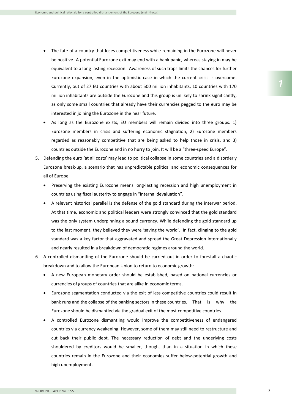- The fate of a country that loses competitiveness while remaining in the Eurozone will never be positive. A potential Eurozone exit may end with a bank panic, whereas staying in may be equivalent to a long-lasting recession. Awareness of such traps limits the chances for further Eurozone expansion, even in the optimistic case in which the current crisis is overcome. Currently, out of 27 EU countries with about 500 million inhabitants, 10 countries with 170 million inhabitants are outside the Eurozone and this group is unlikely to shrink significantly, as only some small countries that already have their currencies pegged to the euro may be interested in joining the Eurozone in the near future.
- As long as the Eurozone exists, EU members will remain divided into three groups: 1) Eurozone members in crisis and suffering economic stagnation, 2) Eurozone members regarded as reasonably competitive that are being asked to help those in crisis, and 3) countries outside the Eurozone and in no hurry to join. It will be a "three-speed Europe".
- 5. Defending the euro 'at all costs' may lead to political collapse in some countries and a disorderly Eurozone break-up, a scenario that has unpredictable political and economic consequences for all of Europe.
	- Preserving the existing Eurozone means long-lasting recession and high unemployment in countries using fiscal austerity to engage in "internal devaluation".
	- A relevant historical parallel is the defense of the gold standard during the interwar period. At that time, economic and political leaders were strongly convinced that the gold standard was the only system underpinning a sound currency. While defending the gold standard up to the last moment, they believed they were 'saving the world'. In fact, clinging to the gold standard was a key factor that aggravated and spread the Great Depression internationally and nearly resulted in a breakdown of democratic regimes around the world.
- 6. A controlled dismantling of the Eurozone should be carried out in order to forestall a chaotic breakdown and to allow the European Union to return to economic growth:
	- A new European monetary order should be established, based on national currencies or currencies of groups of countries that are alike in economic terms.
	- Eurozone segmentation conducted via the exit of less competitive countries could result in bank runs and the collapse of the banking sectors in these countries. That is why the Eurozone should be dismantled via the gradual exit of the most competitive countries.
	- A controlled Eurozone dismantling would improve the competitiveness of endangered countries via currency weakening. However, some of them may still need to restructure and cut back their public debt. The necessary reduction of debt and the underlying costs shouldered by creditors would be smaller, though, than in a situation in which these countries remain in the Eurozone and their economies suffer below-potential growth and high unemployment.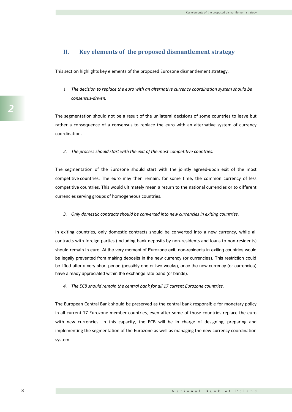## **II. Key elements of the proposed dismantlement strategy**

This section highlights key elements of the proposed Eurozone dismantlement strategy.

1. *The decision to replace the euro with an alternative currency coordination system should be consensus-driven.* 

The segmentation should not be a result of the unilateral decisions of some countries to leave but rather a consequence of a consensus to replace the euro with an alternative system of currency coordination.

*2. The process should start with the exit of the most competitive countries.*

The segmentation of the Eurozone should start with the jointly agreed-upon exit of the most competitive countries. The euro may then remain, for some time, the common currency of less competitive countries. This would ultimately mean a return to the national currencies or to different currencies serving groups of homogeneous countries.

*3. Only domestic contracts should be converted into new currencies in exiting countries.*

In exiting countries, only domestic contracts should be converted into a new currency, while all contracts with foreign parties (including bank deposits by non-residents and loans to non-residents) should remain in euro. At the very moment of Eurozone exit, non-residents in exiting countries would be legally prevented from making deposits in the new currency (or currencies). This restriction could be lifted after a very short period (possibly one or two weeks), once the new currency (or currencies) have already appreciated within the exchange rate band (or bands).

*4. The ECB should remain the central bank for all 17 current Eurozone countries.*

The European Central Bank should be preserved as the central bank responsible for monetary policy in all current 17 Eurozone member countries, even after some of those countries replace the euro with new currencies. In this capacity, the ECB will be in charge of designing, preparing and implementing the segmentation of the Eurozone as well as managing the new currency coordination system.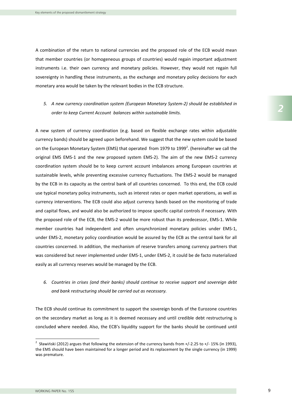A combination of the return to national currencies and the proposed role of the ECB would mean that member countries (or homogeneous groups of countries) would regain important adjustment instruments i.e. their own currency and monetary policies. However, they would not regain full sovereignty in handling these instruments, as the exchange and monetary policy decisions for each monetary area would be taken by the relevant bodies in the ECB structure.

*5. A new currency coordination system (European Monetary System-2) should be established in order to keep Current Account balances within sustainable limits.*

A new system of currency coordination (e.g. based on flexible exchange rates within adjustable currency bands) should be agreed upon beforehand. We suggest that the new system could be based on the European Monetary System (EMS) that operated from 1979 to 1999<sup>2</sup>. (hereinafter we call the original EMS EMS-1 and the new proposed system EMS-2). The aim of the new EMS-2 currency coordination system should be to keep current account imbalances among European countries at sustainable levels, while preventing excessive currency fluctuations. The EMS-2 would be managed by the ECB in its capacity as the central bank of all countries concerned. To this end, the ECB could use typical monetary policy instruments, such as interest rates or open market operations, as well as currency interventions. The ECB could also adjust currency bands based on the monitoring of trade and capital flows, and would also be authorized to impose specific capital controls if necessary. With the proposed role of the ECB, the EMS-2 would be more robust than its predecessor, EMS-1. While member countries had independent and often unsynchronized monetary policies under EMS-1, under EMS-2, monetary policy coordination would be assured by the ECB as the central bank for all countries concerned. In addition, the mechanism of reserve transfers among currency partners that was considered but never implemented under EMS-1, under EMS-2, it could be de facto materialized easily as all currency reserves would be managed by the ECB.

*6. Countries in crises (and their banks) should continue to receive support and sovereign debt and bank restructuring should be carried out as necessary.*

The ECB should continue its commitment to support the sovereign bonds of the Eurozone countries on the secondary market as long as it is deemed necessary and until credible debt restructuring is concluded where needed. Also, the ECB's liquidity support for the banks should be continued until

<sup>&</sup>lt;sup>2</sup> <sup>2</sup> Sławiński (2012) argues that following the extension of the currency bands from +/-2.25 to +/-15% (in 1993), the EMS should have been maintained for a longer period and its replacement by the single currency (in 1999) was premature.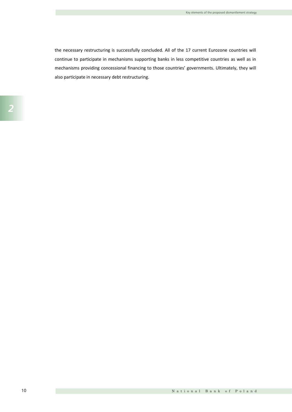the necessary restructuring is successfully concluded. All of the 17 current Eurozone countries will continue to participate in mechanisms supporting banks in less competitive countries as well as in mechanisms providing concessional financing to those countries' governments. Ultimately, they will also participate in necessary debt restructuring.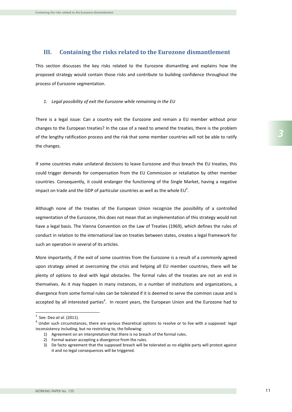### **III. Containing the risks related to the Eurozone dismantlement**

This section discusses the key risks related to the Eurozone dismantling and explains how the proposed strategy would contain those risks and contribute to building confidence throughout the process of Eurozone segmentation.

*1. Legal possibility of exit the Eurozone while remaining in the EU*

There is a legal issue: Can a country exit the Eurozone and remain a EU member without prior changes to the European treaties? In the case of a need to amend the treaties, there is the problem of the lengthy ratification process and the risk that some member countries will not be able to ratify the changes.

If some countries make unilateral decisions to leave Eurozone and thus breach the EU treaties, this could trigger demands for compensation from the EU Commission or retaliation by other member countries. Consequently, it could endanger the functioning of the Single Market, having a negative impact on trade and the GDP of particular countries as well as the whole EU<sup>3</sup>.

Although none of the treaties of the European Union recognize the possibility of a controlled segmentation of the Eurozone, this does not mean that an implementation of this strategy would not have a legal basis. The Vienna Convention on the Law of Treaties (1969), which defines the rules of conduct in relation to the international law on treaties between states, creates a legal framework for such an operation in several of its articles.

More importantly, if the exit of some countries from the Eurozone is a result of a commonly agreed upon strategy aimed at overcoming the crisis and helping all EU member countries, there will be plenty of options to deal with legal obstacles. The formal rules of the treaties are not an end in themselves. As it may happen in many instances, in a number of institutions and organizations, a divergence from some formal rules can be tolerated if it is deemed to serve the common cause and is accepted by all interested parties<sup>4</sup>. In recent years, the European Union and the Eurozone had to

<sup>&</sup>lt;sup>3</sup> See: Deo *at al.* (2011).<br><sup>4</sup> Under such circumstances, there are various theoretical options to resolve or to live with a supposed legal inconsistency including, but no restricting to, the following:

<sup>1)</sup> Agreement on an interpretation that there is no breach of the formal rules.

<sup>2)</sup> Formal waiver accepting a divergence from the rules.

<sup>3)</sup> De facto agreement that the supposed breach will be tolerated as no eligible party will protest against it and no legal consequences will be triggered.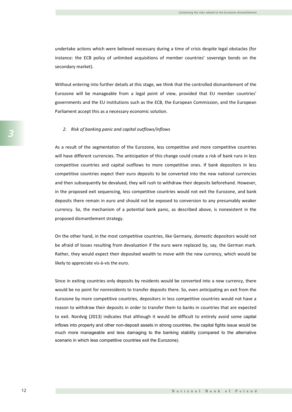undertake actions which were believed necessary during a time of crisis despite legal obstacles (for instance: the ECB policy of unlimited acquisitions of member countries' sovereign bonds on the secondary market).

Without entering into further details at this stage, we think that the controlled dismantlement of the Eurozone will be manageable from a legal point of view, provided that EU member countries' governments and the EU institutions such as the ECB, the European Commission, and the European Parliament accept this as a necessary economic solution.

#### *2. Risk of banking panic and capital outflows/inflows*

As a result of the segmentation of the Eurozone, less competitive and more competitive countries will have different currencies. The anticipation of this change could create a risk of bank runs in less competitive countries and capital outflows to more competitive ones. If bank depositors in less competitive countries expect their euro deposits to be converted into the new national currencies and then subsequently be devalued, they will rush to withdraw their deposits beforehand. However, in the proposed exit sequencing, less competitive countries would not exit the Eurozone, and bank deposits there remain in euro and should not be exposed to conversion to any presumably weaker currency. So, the mechanism of a potential bank panic, as described above, is nonexistent in the proposed dismantlement strategy.

On the other hand, in the most competitive countries, like Germany, domestic depositors would not be afraid of losses resulting from devaluation if the euro were replaced by, say, the German mark. Rather, they would expect their deposited wealth to move with the new currency, which would be likely to appreciate vis-à-vis the euro.

Since in exiting countries only deposits by residents would be converted into a new currency, there would be no point for nonresidents to transfer deposits there. So, even anticipating an exit from the Eurozone by more competitive countries, depositors in less competitive countries would not have a reason to withdraw their deposits in order to transfer them to banks in countries that are expected to exit. Nordvig (2013) indicates that although it would be difficult to entirely avoid some capital inflows into property and other non-deposit assets in strong countries, the capital fights issue would be much more manageable and less damaging to the banking stability (compared to the alternative scenario in which less competitive countries exit the Eurozone).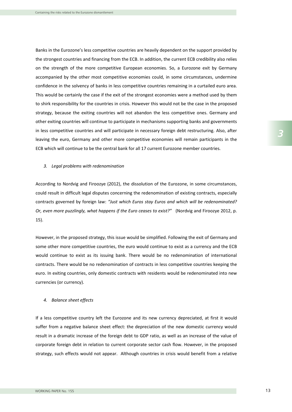Banks in the Eurozone's less competitive countries are heavily dependent on the support provided by the strongest countries and financing from the ECB. In addition, the current ECB credibility also relies on the strength of the more competitive European economies. So, a Eurozone exit by Germany accompanied by the other most competitive economies could, in some circumstances, undermine confidence in the solvency of banks in less competitive countries remaining in a curtailed euro area. This would be certainly the case if the exit of the strongest economies were a method used by them to shirk responsibility for the countries in crisis. However this would not be the case in the proposed strategy, because the exiting countries will not abandon the less competitive ones. Germany and other exiting countries will continue to participate in mechanisms supporting banks and governments in less competitive countries and will participate in necessary foreign debt restructuring. Also, after leaving the euro, Germany and other more competitive economies will remain participants in the ECB which will continue to be the central bank for all 17 current Eurozone member countries.

#### *3. Legal problems with redenomination*

According to Nordvig and Firoozye (2012), the dissolution of the Eurozone, in some circumstances, could result in difficult legal disputes concerning the redenomination of existing contracts, especially contracts governed by foreign law: *"Just which Euros stay Euros and which will be redenominated? Or, even more puzzlingly, what happens if the Euro ceases to exist?"* (Nordvig and Firoozye 2012, p. 15).

However, in the proposed strategy, this issue would be simplified. Following the exit of Germany and some other more competitive countries, the euro would continue to exist as a currency and the ECB would continue to exist as its issuing bank. There would be no redenomination of international contracts. There would be no redenomination of contracts in less competitive countries keeping the euro. In exiting countries, only domestic contracts with residents would be redenominated into new currencies (or currency).

#### *4. Balance sheet effects*

If a less competitive country left the Eurozone and its new currency depreciated, at first it would suffer from a negative balance sheet effect: the depreciation of the new domestic currency would result in a dramatic increase of the foreign debt to GDP ratio, as well as an increase of the value of corporate foreign debt in relation to current corporate sector cash flow. However, in the proposed strategy, such effects would not appear. Although countries in crisis would benefit from a relative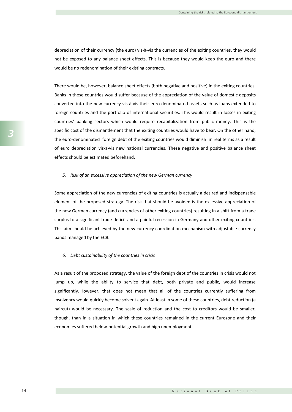depreciation of their currency (the euro) vis-à-vis the currencies of the exiting countries, they would not be exposed to any balance sheet effects. This is because they would keep the euro and there would be no redenomination of their existing contracts.

There would be, however, balance sheet effects (both negative and positive) in the exiting countries. Banks in these countries would suffer because of the appreciation of the value of domestic deposits converted into the new currency vis-à-vis their euro-denominated assets such as loans extended to foreign countries and the portfolio of international securities. This would result in losses in exiting countries' banking sectors which would require recapitalization from public money. This is the specific cost of the dismantlement that the exiting countries would have to bear. On the other hand, the euro-denominated foreign debt of the exiting countries would diminish in real terms as a result of euro depreciation vis-à-vis new national currencies. These negative and positive balance sheet effects should be estimated beforehand.

#### *5. Risk of an excessive appreciation of the new German currency*

Some appreciation of the new currencies of exiting countries is actually a desired and indispensable element of the proposed strategy. The risk that should be avoided is the excessive appreciation of the new German currency (and currencies of other exiting countries) resulting in a shift from a trade surplus to a significant trade deficit and a painful recession in Germany and other exiting countries. This aim should be achieved by the new currency coordination mechanism with adjustable currency bands managed by the ECB.

#### *6. Debt sustainability of the countries in crisis*

As a result of the proposed strategy, the value of the foreign debt of the countries in crisis would not jump up, while the ability to service that debt, both private and public, would increase significantly. However, that does not mean that all of the countries currently suffering from insolvency would quickly become solvent again. At least in some of these countries, debt reduction (a haircut) would be necessary. The scale of reduction and the cost to creditors would be smaller, though, than in a situation in which these countries remained in the current Eurozone and their economies suffered below-potential growth and high unemployment.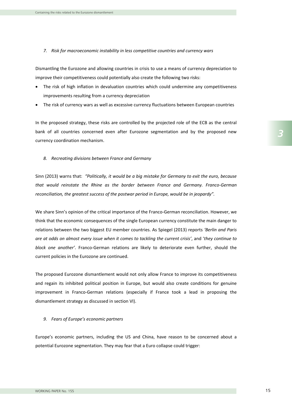*7. Risk for macroeconomic instability in less competitive countries and currency wars*

Dismantling the Eurozone and allowing countries in crisis to use a means of currency depreciation to improve their competitiveness could potentially also create the following two risks:

- The risk of high inflation in devaluation countries which could undermine any competitiveness improvements resulting from a currency depreciation
- The risk of currency wars as well as excessive currency fluctuations between European countries

In the proposed strategy, these risks are controlled by the projected role of the ECB as the central bank of all countries concerned even after Eurozone segmentation and by the proposed new currency coordination mechanism.

*8. Recreating divisions between France and Germany* 

Sinn (2013) warns that: *"Politically, it would be a big mistake for Germany to exit the euro, because that would reinstate the Rhine as the border between France and Germany. Franco-German reconciliation, the greatest success of the postwar period in Europe, would be in jeopardy".*

We share Sinn's opinion of the critical importance of the Franco-German reconciliation. However, we think that the economic consequences of the single European currency constitute the main danger to relations between the two biggest EU member countries. As Spiegel (2013) reports *'Berlin and Paris are at odds on almost every issue when it comes to tackling the current crisis'*, and '*they continue to block one another'*. Franco-German relations are likely to deteriorate even further, should the current policies in the Eurozone are continued.

The proposed Eurozone dismantlement would not only allow France to improve its competitiveness and regain its inhibited political position in Europe, but would also create conditions for genuine improvement in Franco-German relations (especially if France took a lead in proposing the dismantlement strategy as discussed in section VI).

#### *9. Fears of Europe's economic partners*

Europe's economic partners, including the US and China, have reason to be concerned about a potential Eurozone segmentation. They may fear that a Euro collapse could trigger: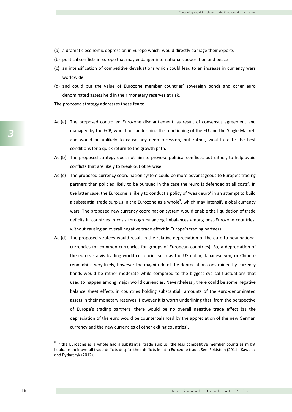- (a) a dramatic economic depression in Europe which would directly damage their exports
- (b) political conflicts in Europe that may endanger international cooperation and peace
- (c) an intensification of competitive devaluations which could lead to an increase in currency wars worldwide
- (d) and could put the value of Eurozone member countries' sovereign bonds and other euro denominated assets held in their monetary reserves at risk.

The proposed strategy addresses these fears:

- Ad (a) The proposed controlled Eurozone dismantlement, as result of consensus agreement and managed by the ECB, would not undermine the functioning of the EU and the Single Market, and would be unlikely to cause any deep recession, but rather, would create the best conditions for a quick return to the growth path.
- Ad (b) The proposed strategy does not aim to provoke political conflicts, but rather, to help avoid conflicts that are likely to break out otherwise.
- Ad (c) The proposed currency coordination system could be more advantageous to Europe's trading partners than policies likely to be pursued in the case the 'euro is defended at all costs'. In the latter case, the Eurozone is likely to conduct a policy of 'weak euro' in an attempt to build a substantial trade surplus in the Eurozone as a whole<sup>5</sup>, which may intensify global currency wars. The proposed new currency coordination system would enable the liquidation of trade deficits in countries in crisis through balancing imbalances among post-Eurozone countries, without causing an overall negative trade effect in Europe's trading partners.
- Ad (d) The proposed strategy would result in the relative depreciation of the euro to new national currencies (or common currencies for groups of European countries). So, a depreciation of the euro vis-à-vis leading world currencies such as the US dollar, Japanese yen, or Chinese renminbi is very likely, however the magnitude of the depreciation constrained by currency bands would be rather moderate while compared to the biggest cyclical fluctuations that used to happen among major world currencies. Nevertheless , there could be some negative balance sheet effects in countries holding substantial amounts of the euro-denominated assets in their monetary reserves. However it is worth underlining that, from the perspective of Europe's trading partners, there would be no overall negative trade effect (as the depreciation of the euro would be counterbalanced by the appreciation of the new German currency and the new currencies of other exiting countries).

*3*

 $<sup>5</sup>$  If the Eurozone as a whole had a substantial trade surplus, the less competitive member countries might</sup> liquidate their overall trade deficits despite their deficits in intra Eurozone trade. See: Feldstein (2011), Kawalec and Pytlarczyk (2012).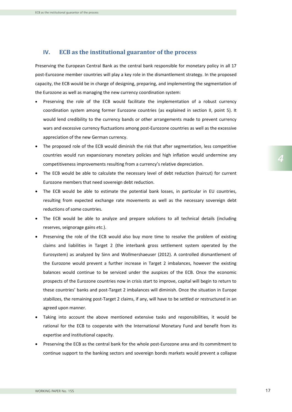## **IV. ECB as the institutional guarantor of the process**

Preserving the European Central Bank as the central bank responsible for monetary policy in all 17 post-Eurozone member countries will play a key role in the dismantlement strategy. In the proposed capacity, the ECB would be in charge of designing, preparing, and implementing the segmentation of the Eurozone as well as managing the new currency coordination system:

- Preserving the role of the ECB would facilitate the implementation of a robust currency coordination system among former Eurozone countries (as explained in section II, point 5). It would lend credibility to the currency bands or other arrangements made to prevent currency wars and excessive currency fluctuations among post-Eurozone countries as well as the excessive appreciation of the new German currency.
- The proposed role of the ECB would diminish the risk that after segmentation, less competitive countries would run expansionary monetary policies and high inflation would undermine any competitiveness improvements resulting from a currency's relative depreciation.
- The ECB would be able to calculate the necessary level of debt reduction (haircut) for current Eurozone members that need sovereign debt reduction.
- The ECB would be able to estimate the potential bank losses, in particular in EU countries, resulting from expected exchange rate movements as well as the necessary sovereign debt reductions of some countries.
- The ECB would be able to analyze and prepare solutions to all technical details (including reserves, seignorage gains *etc.*).
- Preserving the role of the ECB would also buy more time to resolve the problem of existing claims and liabilities in Target 2 (the interbank gross settlement system operated by the Eurosystem) as analyzed by Sinn and Wollmershaeuser (2012). A controlled dismantlement of the Eurozone would prevent a further increase in Target 2 imbalances, however the existing balances would continue to be serviced under the auspices of the ECB. Once the economic prospects of the Eurozone countries now in crisis start to improve, capital will begin to return to these countries' banks and post-Target 2 imbalances will diminish. Once the situation in Europe stabilizes, the remaining post-Target 2 claims, if any, will have to be settled or restructured in an agreed upon manner.
- Taking into account the above mentioned extensive tasks and responsibilities, it would be rational for the ECB to cooperate with the International Monetary Fund and benefit from its expertise and institutional capacity.
- Preserving the ECB as the central bank for the whole post-Eurozone area and its commitment to continue support to the banking sectors and sovereign bonds markets would prevent a collapse

*4*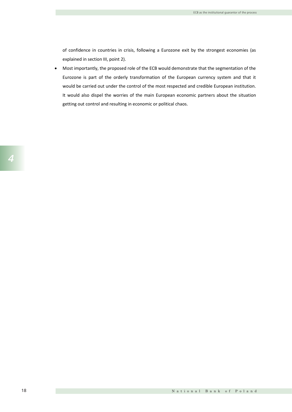of confidence in countries in crisis, following a Eurozone exit by the strongest economies (as explained in section III, point 2).

 Most importantly, the proposed role of the ECB would demonstrate that the segmentation of the Eurozone is part of the orderly transformation of the European currency system and that it would be carried out under the control of the most respected and credible European institution. It would also dispel the worries of the main European economic partners about the situation getting out control and resulting in economic or political chaos.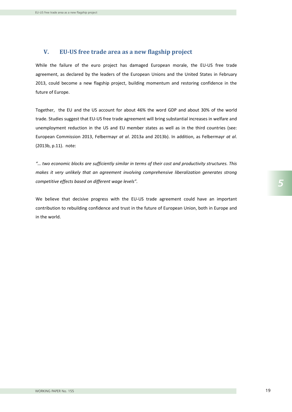## **V. EU-US free trade area as a new flagship project**

While the failure of the euro project has damaged European morale, the EU-US free trade agreement, as declared by the leaders of the European Unions and the United States in February 2013, could become a new flagship project, building momentum and restoring confidence in the future of Europe.

Together, the EU and the US account for about 46% the word GDP and about 30% of the world trade. Studies suggest that EU-US free trade agreement will bring substantial increases in welfare and unemployment reduction in the US and EU member states as well as in the third countries (see: European Commission 2013, Felbermayr *at al*. 2013a and 2013b). In addition, as Felbermayr *at al*. (2013b, p.11). note:

*"… two economic blocks are sufficiently similar in terms of their cost and productivity structures. This makes it very unlikely that an agreement involving comprehensive liberalization generates strong competitive effects based on different wage levels".*

We believe that decisive progress with the EU-US trade agreement could have an important contribution to rebuilding confidence and trust in the future of European Union, both in Europe and in the world.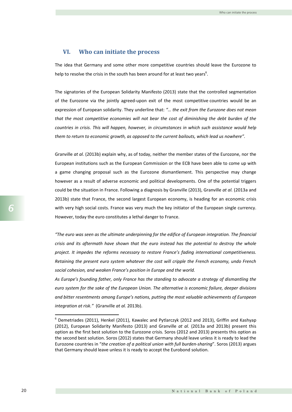### **VI. Who can initiate the process**

The idea that Germany and some other more competitive countries should leave the Eurozone to help to resolve the crisis in the south has been around for at least two years<sup>6</sup>.

The signatories of the European Solidarity Manifesto (2013) state that the controlled segmentation of the Eurozone via the jointly agreed-upon exit of the most competitive countries would be an expression of European solidarity. They underline that: *"… the exit from the Eurozone does not mean that the most competitive economies will not bear the cost of diminishing the debt burden of the countries in crisis. This will happen, however, in circumstances in which such assistance would help them to return to economic growth, as opposed to the current bailouts, which lead us nowhere".*

Granville *at al.* (2013b) explain why, as of today, neither the member states of the Eurozone, nor the European institutions such as the European Commission or the ECB have been able to come up with a game changing proposal such as the Eurozone dismantlement. This perspective may change however as a result of adverse economic and political developments. One of the potential triggers could be the situation in France. Following a diagnosis by Granville (2013), Granville *at al.* (2013a and 2013b) state that France, the second largest European economy, is heading for an economic crisis with very high social costs. France was very much the key initiator of the European single currency. However, today the euro constitutes a lethal danger to France.

*"The euro was seen as the ultimate underpinning for the edifice of European integration. The financial crisis and its aftermath have shown that the euro instead has the potential to destroy the whole project. It impedes the reforms necessary to restore France's fading international competitiveness. Retaining the present euro system whatever the cost will cripple the French economy, undo French social cohesion, and weaken France's position in Europe and the world.* 

*As Europe's founding father, only France has the standing to advocate a strategy of dismantling the euro system for the sake of the European Union. The alternative is economic failure, deeper divisions and bitter resentments among Europe's nations, putting the most valuable achievements of European integration at risk."* (Granville *at al.* 2013b).

 $6$  Demetriades (2011), Henkel (2011), Kawalec and Pytlarczyk (2012 and 2013), Griffin and Kashyap (2012), European Solidarity Manifesto (2013) and Granville *at al.* (2013a and 2013b) present this option as the first best solution to the Eurozone crisis. Soros (2012 and 2013) presents this option as the second best solution. Soros (2012) states that Germany should leave unless it is ready to lead the Eurozone countries in "*the creation of a political union with full burden-sharing*". Soros (2013) argues that Germany should leave unless it is ready to accept the Eurobond solution.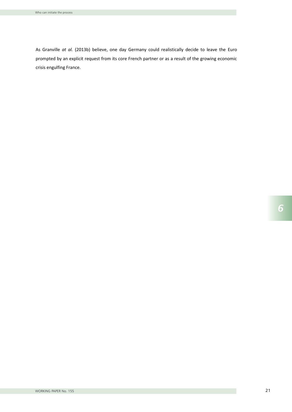As Granville *at al.* (2013b) believe, one day Germany could realistically decide to leave the Euro prompted by an explicit request from its core French partner or as a result of the growing economic crisis engulfing France.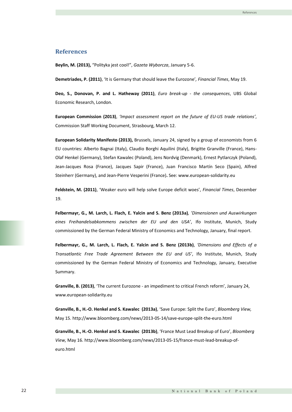## **References**

**Beylin, M. (2013),** "Polityka jest cool!", *Gazeta Wyborcza*, January 5-6.

**Demetriades, P. (2011)**, 'It is Germany that should leave the Eurozone'*, Financial Times*, May 19.

**Deo, S., Donovan, P. and L. Hatheway (2011)**, *Euro break-up - the consequences*, UBS Global Economic Research, London.

**European Commission (2013)**, *'Impact assessment report on the future of EU-US trade relations'*, Commission Staff Working Document, Strasbourg, March 12.

**European Solidarity Manifesto (2013),** Brussels, January 24, signed by a group of economists from 6 EU countries: Alberto Bagnai (Italy), Claudio Borghi Aquilini (Italy), Brigitte Granville (France), Hans-Olaf Henkel (Germany), Stefan Kawalec (Poland), Jens Nordvig (Denmark), Ernest Pytlarczyk (Poland), Jean-Jacques Rosa (France), Jacques Sapir (France), Juan Francisco Martín Seco (Spain), Alfred Steinherr (Germany), and Jean-Pierre Vesperini (France)**.** See: www.european-solidarity.eu

**Feldstein, M. (2011)**, 'Weaker euro will help solve Europe deficit woes', *Financial Times*, December 19.

**Felbermayr, G., M. Larch, L. Flach, E. Yalcin and S. Benz (2013a)***, 'Dimensionen und Auswirkungen eines Freihandelsabkommens zwischen der EU und den USA'*, Ifo Institute, Munich, Study commissioned by the German Federal Ministry of Economics and Technology, January, final report.

**Felbermayr, G., M. Larch, L. Flach, E. Yalcin and S. Benz (2013b)**, *'Dimensions and Effects of a Transatlantic Free Trade Agreement Between the EU and US'*, Ifo Institute, Munich, Study commissioned by the German Federal Ministry of Economics and Technology, January, Executive Summary.

**Granville, B. (2013)**, 'The current Eurozone - an impediment to critical French reform', January 24, www.european-solidarity.eu

**Granville, B., H.-O. Henkel and S. Kawalec (2013a)**, 'Save Europe: Split the Euro', *Bloomberg View,*  May 15. http://www.bloomberg.com/news/2013-05-14/save-europe-split-the-euro.html

**Granville, B., H.-O. Henkel and S. Kawalec (2013b)**, 'France Must Lead Breakup of Euro', *Bloomberg View,* May 16. http://www.bloomberg.com/news/2013-05-15/france-must-lead-breakup-ofeuro.html